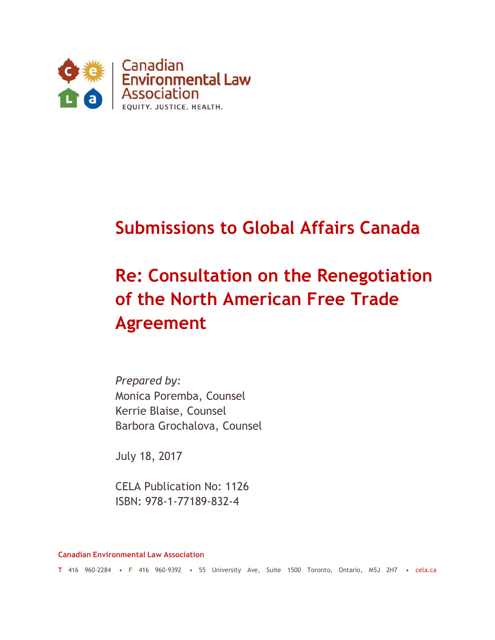

# **Submissions to Global Affairs Canada**

# **Re: Consultation on the Renegotiation of the North American Free Trade Agreement**

*Prepared by:*  Monica Poremba, Counsel Kerrie Blaise, Counsel Barbora Grochalova, Counsel

July 18, 2017

CELA Publication No: 1126 ISBN: 978-1-77189-832-4

**Canadian Environmental Law Association**

**T** 416 960-2284 • **F** 416 960-9392 • 55 University Ave, Suite 1500 Toronto, Ontario, M5J 2H7 • cela.ca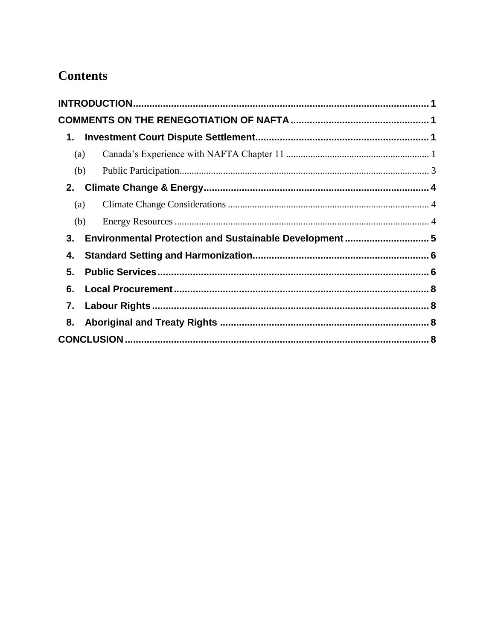## **Contents**

| (a) |  |  |  |
|-----|--|--|--|
| (b) |  |  |  |
| 2.  |  |  |  |
| (a) |  |  |  |
| (b) |  |  |  |
| 3.  |  |  |  |
| 4.  |  |  |  |
| 5.  |  |  |  |
| 6.  |  |  |  |
| 7.  |  |  |  |
| 8.  |  |  |  |
|     |  |  |  |
|     |  |  |  |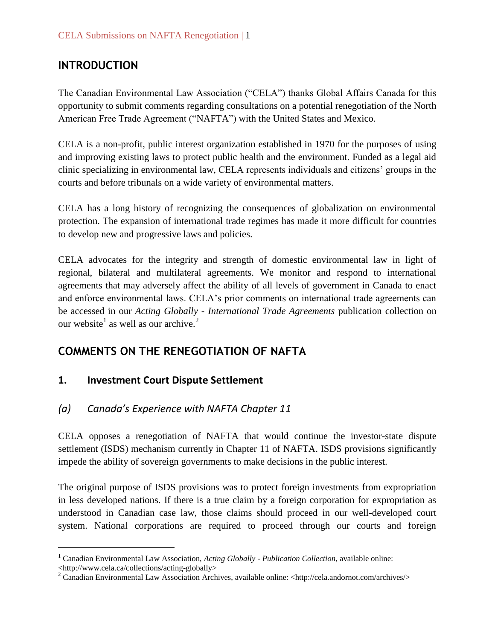### <span id="page-2-0"></span>**INTRODUCTION**

The Canadian Environmental Law Association ("CELA") thanks Global Affairs Canada for this opportunity to submit comments regarding consultations on a potential renegotiation of the North American Free Trade Agreement ("NAFTA") with the United States and Mexico.

CELA is a non-profit, public interest organization established in 1970 for the purposes of using and improving existing laws to protect public health and the environment. Funded as a legal aid clinic specializing in environmental law, CELA represents individuals and citizens' groups in the courts and before tribunals on a wide variety of environmental matters.

CELA has a long history of recognizing the consequences of globalization on environmental protection. The expansion of international trade regimes has made it more difficult for countries to develop new and progressive laws and policies.

CELA advocates for the integrity and strength of domestic environmental law in light of regional, bilateral and multilateral agreements. We monitor and respond to international agreements that may adversely affect the ability of all levels of government in Canada to enact and enforce environmental laws. CELA's prior comments on international trade agreements can be accessed in our *Acting Globally - International Trade Agreements* publication collection on our website<sup>1</sup> as well as our archive.<sup>2</sup>

### <span id="page-2-1"></span>**COMMENTS ON THE RENEGOTIATION OF NAFTA**

#### <span id="page-2-2"></span>**1. Investment Court Dispute Settlement**

 $\overline{a}$ 

#### <span id="page-2-3"></span>*(a) Canada's Experience with NAFTA Chapter 11*

CELA opposes a renegotiation of NAFTA that would continue the investor-state dispute settlement (ISDS) mechanism currently in Chapter 11 of NAFTA. ISDS provisions significantly impede the ability of sovereign governments to make decisions in the public interest.

The original purpose of ISDS provisions was to protect foreign investments from expropriation in less developed nations. If there is a true claim by a foreign corporation for expropriation as understood in Canadian case law, those claims should proceed in our well-developed court system. National corporations are required to proceed through our courts and foreign

<sup>1</sup> Canadian Environmental Law Association, *Acting Globally - Publication Collection*, available online: <http://www.cela.ca/collections/acting-globally>

<sup>&</sup>lt;sup>2</sup> Canadian Environmental Law Association Archives, available online:  $\langle$ http://cela.andornot.com/archives/>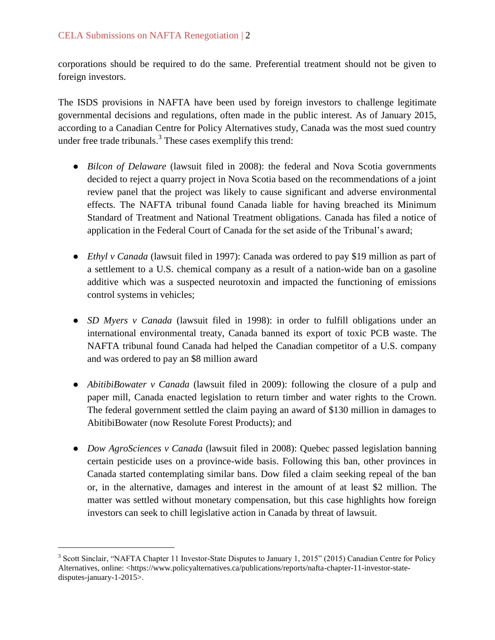corporations should be required to do the same. Preferential treatment should not be given to foreign investors.

The ISDS provisions in NAFTA have been used by foreign investors to challenge legitimate governmental decisions and regulations, often made in the public interest. As of January 2015, according to a Canadian Centre for Policy Alternatives study, Canada was the most sued country under free trade tribunals. $3$  These cases exemplify this trend:

- *Bilcon of Delaware* (lawsuit filed in 2008): the federal and Nova Scotia governments decided to reject a quarry project in Nova Scotia based on the recommendations of a joint review panel that the project was likely to cause significant and adverse environmental effects. The NAFTA tribunal found Canada liable for having breached its Minimum Standard of Treatment and National Treatment obligations. Canada has filed a notice of application in the Federal Court of Canada for the set aside of the Tribunal's award;
- *Ethyl v Canada* (lawsuit filed in 1997): Canada was ordered to pay \$19 million as part of a settlement to a U.S. chemical company as a result of a nation-wide ban on a gasoline additive which was a suspected neurotoxin and impacted the functioning of emissions control systems in vehicles;
- *SD Myers v Canada* (lawsuit filed in 1998): in order to fulfill obligations under an international environmental treaty, Canada banned its export of toxic PCB waste. The NAFTA tribunal found Canada had helped the Canadian competitor of a U.S. company and was ordered to pay an \$8 million award
- *AbitibiBowater v Canada* (lawsuit filed in 2009): following the closure of a pulp and paper mill, Canada enacted legislation to return timber and water rights to the Crown. The federal government settled the claim paying an award of \$130 million in damages to AbitibiBowater (now Resolute Forest Products); and
- *Dow AgroSciences v Canada* (lawsuit filed in 2008): Quebec passed legislation banning certain pesticide uses on a province-wide basis. Following this ban, other provinces in Canada started contemplating similar bans. Dow filed a claim seeking repeal of the ban or, in the alternative, damages and interest in the amount of at least \$2 million. The matter was settled without monetary compensation, but this case highlights how foreign investors can seek to chill legislative action in Canada by threat of lawsuit.

 $\overline{a}$ 

<sup>&</sup>lt;sup>3</sup> Scott Sinclair, "NAFTA Chapter 11 Investor-State Disputes to January 1, 2015" (2015) Canadian Centre for Policy Alternatives, online: <https://www.policyalternatives.ca/publications/reports/nafta-chapter-11-investor-statedisputes-january-1-2015>.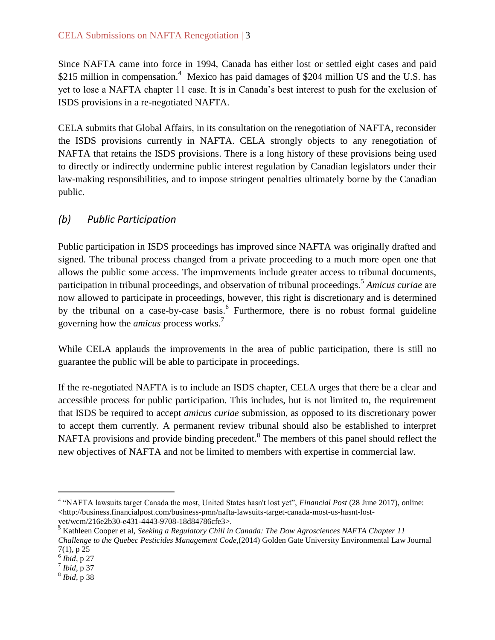#### CELA Submissions on NAFTA Renegotiation | 3

Since NAFTA came into force in 1994, Canada has either lost or settled eight cases and paid \$215 million in compensation.<sup>4</sup> Mexico has paid damages of \$204 million US and the U.S. has yet to lose a NAFTA chapter 11 case. It is in Canada's best interest to push for the exclusion of ISDS provisions in a re-negotiated NAFTA.

CELA submits that Global Affairs, in its consultation on the renegotiation of NAFTA, reconsider the ISDS provisions currently in NAFTA. CELA strongly objects to any renegotiation of NAFTA that retains the ISDS provisions. There is a long history of these provisions being used to directly or indirectly undermine public interest regulation by Canadian legislators under their law-making responsibilities, and to impose stringent penalties ultimately borne by the Canadian public.

#### <span id="page-4-0"></span>*(b) Public Participation*

Public participation in ISDS proceedings has improved since NAFTA was originally drafted and signed. The tribunal process changed from a private proceeding to a much more open one that allows the public some access. The improvements include greater access to tribunal documents, participation in tribunal proceedings, and observation of tribunal proceedings.<sup>5</sup> *Amicus curiae* are now allowed to participate in proceedings, however, this right is discretionary and is determined by the tribunal on a case-by-case basis.<sup>6</sup> Furthermore, there is no robust formal guideline governing how the *amicus* process works.<sup>7</sup>

While CELA applauds the improvements in the area of public participation, there is still no guarantee the public will be able to participate in proceedings.

If the re-negotiated NAFTA is to include an ISDS chapter, CELA urges that there be a clear and accessible process for public participation. This includes, but is not limited to, the requirement that ISDS be required to accept *amicus curiae* submission, as opposed to its discretionary power to accept them currently. A permanent review tribunal should also be established to interpret NAFTA provisions and provide binding precedent.<sup>8</sup> The members of this panel should reflect the new objectives of NAFTA and not be limited to members with expertise in commercial law.

 $\overline{a}$ 

<sup>4</sup> "NAFTA lawsuits target Canada the most, United States hasn't lost yet", *Financial Post* (28 June 2017), online: <http://business.financialpost.com/business-pmn/nafta-lawsuits-target-canada-most-us-hasnt-lostyet/wcm/216e2b30-e431-4443-9708-18d84786cfe3>.

<sup>5</sup> Kathleen Cooper et al, *Seeking a Regulatory Chill in Canada: The Dow Agrosciences NAFTA Chapter 11 Challenge to the Quebec Pesticides Management Code,*(2014) Golden Gate University Environmental Law Journal 7(1), p 25

<sup>6</sup> *Ibid*, p 27

<sup>7</sup> *Ibid*, p 37

<sup>8</sup> *Ibid,* p 38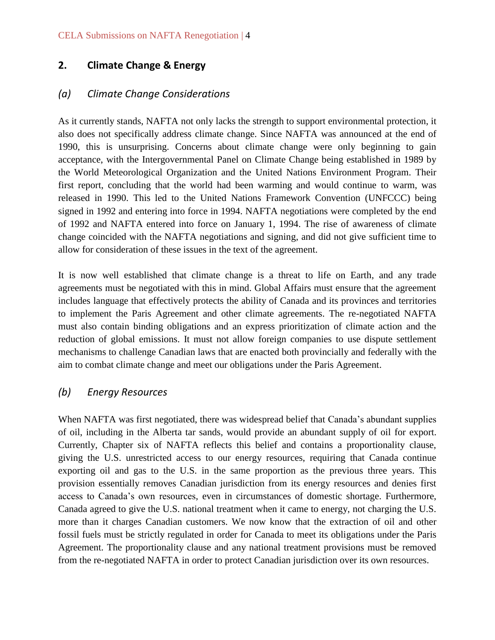#### <span id="page-5-0"></span>**2. Climate Change & Energy**

#### <span id="page-5-1"></span>*(a) Climate Change Considerations*

As it currently stands, NAFTA not only lacks the strength to support environmental protection, it also does not specifically address climate change. Since NAFTA was announced at the end of 1990, this is unsurprising. Concerns about climate change were only beginning to gain acceptance, with the Intergovernmental Panel on Climate Change being established in 1989 by the World Meteorological Organization and the United Nations Environment Program. Their first report, concluding that the world had been warming and would continue to warm, was released in 1990. This led to the United Nations Framework Convention (UNFCCC) being signed in 1992 and entering into force in 1994. NAFTA negotiations were completed by the end of 1992 and NAFTA entered into force on January 1, 1994. The rise of awareness of climate change coincided with the NAFTA negotiations and signing, and did not give sufficient time to allow for consideration of these issues in the text of the agreement.

It is now well established that climate change is a threat to life on Earth, and any trade agreements must be negotiated with this in mind. Global Affairs must ensure that the agreement includes language that effectively protects the ability of Canada and its provinces and territories to implement the Paris Agreement and other climate agreements. The re-negotiated NAFTA must also contain binding obligations and an express prioritization of climate action and the reduction of global emissions. It must not allow foreign companies to use dispute settlement mechanisms to challenge Canadian laws that are enacted both provincially and federally with the aim to combat climate change and meet our obligations under the Paris Agreement.

#### <span id="page-5-2"></span>*(b) Energy Resources*

When NAFTA was first negotiated, there was widespread belief that Canada's abundant supplies of oil, including in the Alberta tar sands, would provide an abundant supply of oil for export. Currently, Chapter six of NAFTA reflects this belief and contains a proportionality clause, giving the U.S. unrestricted access to our energy resources, requiring that Canada continue exporting oil and gas to the U.S. in the same proportion as the previous three years. This provision essentially removes Canadian jurisdiction from its energy resources and denies first access to Canada's own resources, even in circumstances of domestic shortage. Furthermore, Canada agreed to give the U.S. national treatment when it came to energy, not charging the U.S. more than it charges Canadian customers. We now know that the extraction of oil and other fossil fuels must be strictly regulated in order for Canada to meet its obligations under the Paris Agreement. The proportionality clause and any national treatment provisions must be removed from the re-negotiated NAFTA in order to protect Canadian jurisdiction over its own resources.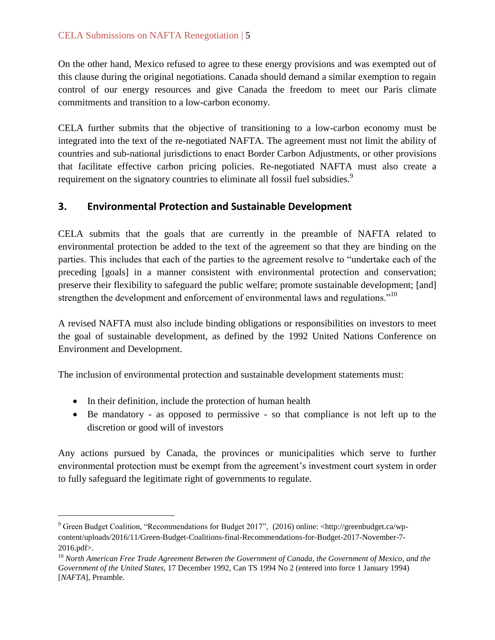On the other hand, Mexico refused to agree to these energy provisions and was exempted out of this clause during the original negotiations. Canada should demand a similar exemption to regain control of our energy resources and give Canada the freedom to meet our Paris climate commitments and transition to a low-carbon economy.

CELA further submits that the objective of transitioning to a low-carbon economy must be integrated into the text of the re-negotiated NAFTA. The agreement must not limit the ability of countries and sub-national jurisdictions to enact Border Carbon Adjustments, or other provisions that facilitate effective carbon pricing policies. Re-negotiated NAFTA must also create a requirement on the signatory countries to eliminate all fossil fuel subsidies.<sup>9</sup>

#### <span id="page-6-0"></span>**3. Environmental Protection and Sustainable Development**

CELA submits that the goals that are currently in the preamble of NAFTA related to environmental protection be added to the text of the agreement so that they are binding on the parties. This includes that each of the parties to the agreement resolve to "undertake each of the preceding [goals] in a manner consistent with environmental protection and conservation; preserve their flexibility to safeguard the public welfare; promote sustainable development; [and] strengthen the development and enforcement of environmental laws and regulations."<sup>10</sup>

A revised NAFTA must also include binding obligations or responsibilities on investors to meet the goal of sustainable development, as defined by the 1992 United Nations Conference on Environment and Development.

The inclusion of environmental protection and sustainable development statements must:

• In their definition, include the protection of human health

 $\overline{a}$ 

 Be mandatory - as opposed to permissive - so that compliance is not left up to the discretion or good will of investors

Any actions pursued by Canada, the provinces or municipalities which serve to further environmental protection must be exempt from the agreement's investment court system in order to fully safeguard the legitimate right of governments to regulate.

<sup>9</sup> Green Budget Coalition, "Recommendations for Budget 2017", (2016) online: <http://greenbudget.ca/wpcontent/uploads/2016/11/Green-Budget-Coalitions-final-Recommendations-for-Budget-2017-November-7- 2016.pdf>.

<sup>10</sup> *North American Free Trade Agreement Between the Government of Canada, the Government of Mexico, and the Government of the United States*, 17 December 1992, Can TS 1994 No 2 (entered into force 1 January 1994) [*NAFTA*], Preamble.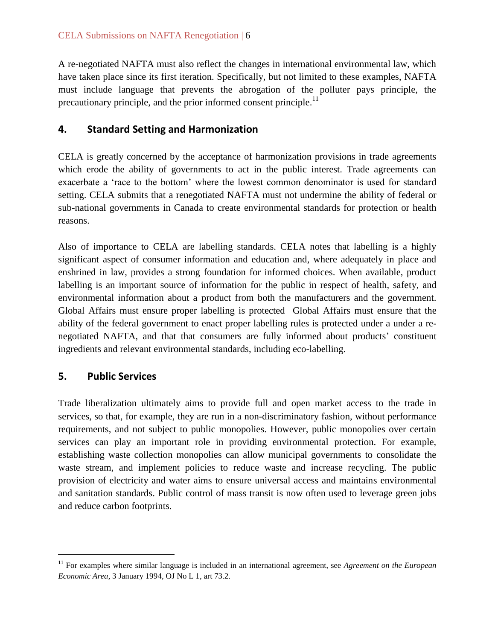A re-negotiated NAFTA must also reflect the changes in international environmental law, which have taken place since its first iteration. Specifically, but not limited to these examples, NAFTA must include language that prevents the abrogation of the polluter pays principle, the precautionary principle, and the prior informed consent principle.<sup>11</sup>

#### <span id="page-7-0"></span>**4. Standard Setting and Harmonization**

CELA is greatly concerned by the acceptance of harmonization provisions in trade agreements which erode the ability of governments to act in the public interest. Trade agreements can exacerbate a 'race to the bottom' where the lowest common denominator is used for standard setting. CELA submits that a renegotiated NAFTA must not undermine the ability of federal or sub-national governments in Canada to create environmental standards for protection or health reasons.

Also of importance to CELA are labelling standards. CELA notes that labelling is a highly significant aspect of consumer information and education and, where adequately in place and enshrined in law, provides a strong foundation for informed choices. When available, product labelling is an important source of information for the public in respect of health, safety, and environmental information about a product from both the manufacturers and the government. Global Affairs must ensure proper labelling is protected Global Affairs must ensure that the ability of the federal government to enact proper labelling rules is protected under a under a renegotiated NAFTA, and that that consumers are fully informed about products' constituent ingredients and relevant environmental standards, including eco-labelling.

#### <span id="page-7-1"></span>**5. Public Services**

 $\overline{a}$ 

Trade liberalization ultimately aims to provide full and open market access to the trade in services, so that, for example, they are run in a non-discriminatory fashion, without performance requirements, and not subject to public monopolies. However, public monopolies over certain services can play an important role in providing environmental protection. For example, establishing waste collection monopolies can allow municipal governments to consolidate the waste stream, and implement policies to reduce waste and increase recycling. The public provision of electricity and water aims to ensure universal access and maintains environmental and sanitation standards. Public control of mass transit is now often used to leverage green jobs and reduce carbon footprints.

<sup>&</sup>lt;sup>11</sup> For examples where similar language is included in an international agreement, see *Agreement on the European Economic Area*, 3 January 1994, OJ No L 1, art 73.2.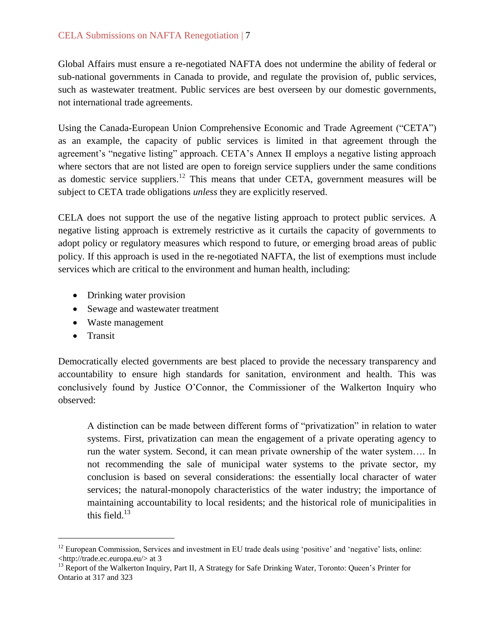#### CELA Submissions on NAFTA Renegotiation | 7

Global Affairs must ensure a re-negotiated NAFTA does not undermine the ability of federal or sub-national governments in Canada to provide, and regulate the provision of, public services, such as wastewater treatment. Public services are best overseen by our domestic governments, not international trade agreements.

Using the Canada-European Union Comprehensive Economic and Trade Agreement ("CETA") as an example, the capacity of public services is limited in that agreement through the agreement's "negative listing" approach. CETA's Annex II employs a negative listing approach where sectors that are not listed are open to foreign service suppliers under the same conditions as domestic service suppliers.<sup>12</sup> This means that under CETA, government measures will be subject to CETA trade obligations *unless* they are explicitly reserved.

CELA does not support the use of the negative listing approach to protect public services. A negative listing approach is extremely restrictive as it curtails the capacity of governments to adopt policy or regulatory measures which respond to future, or emerging broad areas of public policy. If this approach is used in the re-negotiated NAFTA, the list of exemptions must include services which are critical to the environment and human health, including:

- Drinking water provision
- Sewage and wastewater treatment
- Waste management
- Transit

 $\overline{a}$ 

Democratically elected governments are best placed to provide the necessary transparency and accountability to ensure high standards for sanitation, environment and health. This was conclusively found by Justice O'Connor, the Commissioner of the Walkerton Inquiry who observed:

A distinction can be made between different forms of "privatization" in relation to water systems. First, privatization can mean the engagement of a private operating agency to run the water system. Second, it can mean private ownership of the water system…. In not recommending the sale of municipal water systems to the private sector, my conclusion is based on several considerations: the essentially local character of water services; the natural-monopoly characteristics of the water industry; the importance of maintaining accountability to local residents; and the historical role of municipalities in this field. $13$ 

<sup>&</sup>lt;sup>12</sup> European Commission, Services and investment in EU trade deals using 'positive' and 'negative' lists, online: <http://trade.ec.europa.eu/> at 3

<sup>&</sup>lt;sup>13</sup> Report of the Walkerton Inquiry, Part II, A Strategy for Safe Drinking Water, Toronto: Queen's Printer for Ontario at 317 and 323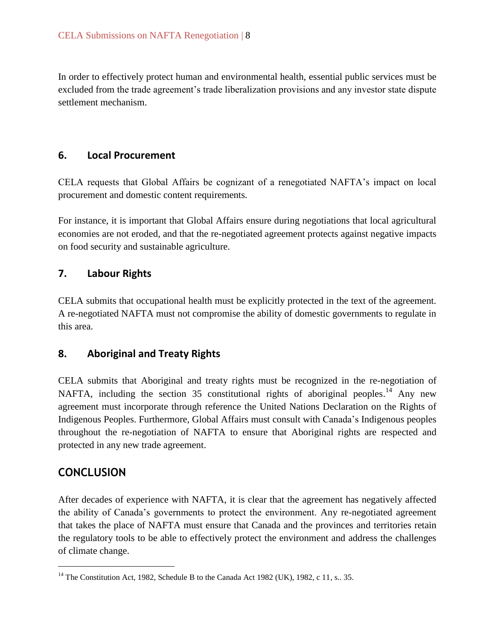In order to effectively protect human and environmental health, essential public services must be excluded from the trade agreement's trade liberalization provisions and any investor state dispute settlement mechanism.

#### <span id="page-9-0"></span>**6. Local Procurement**

CELA requests that Global Affairs be cognizant of a renegotiated NAFTA's impact on local procurement and domestic content requirements.

For instance, it is important that Global Affairs ensure during negotiations that local agricultural economies are not eroded, and that the re-negotiated agreement protects against negative impacts on food security and sustainable agriculture.

#### <span id="page-9-1"></span>**7. Labour Rights**

CELA submits that occupational health must be explicitly protected in the text of the agreement. A re-negotiated NAFTA must not compromise the ability of domestic governments to regulate in this area.

#### <span id="page-9-2"></span>**8. Aboriginal and Treaty Rights**

CELA submits that Aboriginal and treaty rights must be recognized in the re-negotiation of NAFTA, including the section 35 constitutional rights of aboriginal peoples.<sup>14</sup> Any new agreement must incorporate through reference the United Nations Declaration on the Rights of Indigenous Peoples. Furthermore, Global Affairs must consult with Canada's Indigenous peoples throughout the re-negotiation of NAFTA to ensure that Aboriginal rights are respected and protected in any new trade agreement.

#### <span id="page-9-3"></span>**CONCLUSION**

 $\overline{a}$ 

After decades of experience with NAFTA, it is clear that the agreement has negatively affected the ability of Canada's governments to protect the environment. Any re-negotiated agreement that takes the place of NAFTA must ensure that Canada and the provinces and territories retain the regulatory tools to be able to effectively protect the environment and address the challenges of climate change.

<sup>&</sup>lt;sup>14</sup> The Constitution Act, 1982, Schedule B to the Canada Act 1982 (UK), 1982, c 11, s., 35.